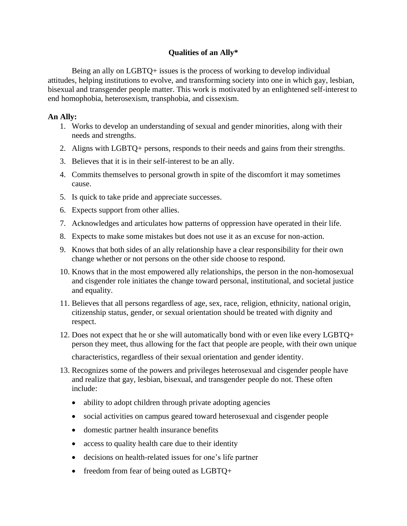## **Qualities of an Ally\***

Being an ally on LGBTQ+ issues is the process of working to develop individual attitudes, helping institutions to evolve, and transforming society into one in which gay, lesbian, bisexual and transgender people matter. This work is motivated by an enlightened self-interest to end homophobia, heterosexism, transphobia, and cissexism.

## **An Ally:**

- 1. Works to develop an understanding of sexual and gender minorities, along with their needs and strengths.
- 2. Aligns with LGBTQ+ persons, responds to their needs and gains from their strengths.
- 3. Believes that it is in their self-interest to be an ally.
- 4. Commits themselves to personal growth in spite of the discomfort it may sometimes cause.
- 5. Is quick to take pride and appreciate successes.
- 6. Expects support from other allies.
- 7. Acknowledges and articulates how patterns of oppression have operated in their life.
- 8. Expects to make some mistakes but does not use it as an excuse for non-action.
- 9. Knows that both sides of an ally relationship have a clear responsibility for their own change whether or not persons on the other side choose to respond.
- 10. Knows that in the most empowered ally relationships, the person in the non-homosexual and cisgender role initiates the change toward personal, institutional, and societal justice and equality.
- 11. Believes that all persons regardless of age, sex, race, religion, ethnicity, national origin, citizenship status, gender, or sexual orientation should be treated with dignity and respect.
- 12. Does not expect that he or she will automatically bond with or even like every LGBTQ+ person they meet, thus allowing for the fact that people are people, with their own unique characteristics, regardless of their sexual orientation and gender identity.
- 13. Recognizes some of the powers and privileges heterosexual and cisgender people have and realize that gay, lesbian, bisexual, and transgender people do not. These often include:
	- ability to adopt children through private adopting agencies
	- social activities on campus geared toward heterosexual and cisgender people
	- domestic partner health insurance benefits
	- access to quality health care due to their identity
	- decisions on health-related issues for one's life partner
	- freedom from fear of being outed as LGBTQ+